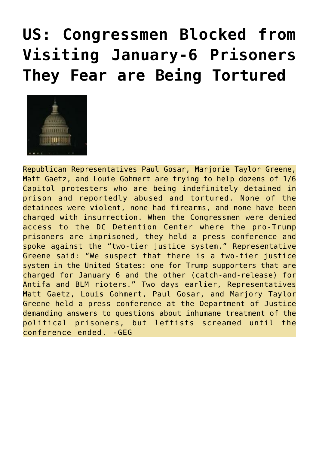## **[US: Congressmen Blocked from](https://needtoknow.news/2021/07/us-congressmen-blocked-from-visiting-january-6-prisoners-they-fear-are-being-tortured/) [Visiting January-6 Prisoners](https://needtoknow.news/2021/07/us-congressmen-blocked-from-visiting-january-6-prisoners-they-fear-are-being-tortured/) [They Fear are Being Tortured](https://needtoknow.news/2021/07/us-congressmen-blocked-from-visiting-january-6-prisoners-they-fear-are-being-tortured/)**



Republican Representatives Paul Gosar, Marjorie Taylor Greene, Matt Gaetz, and Louie Gohmert are trying to help dozens of  $1/6$ Capitol protesters who are being indefinitely detained in prison and reportedly abused and tortured. None of the detainees were violent, none had firearms, and none have been charged with insurrection. When the Congressmen were denied access to the DC Detention Center where the pro-Trump prisoners are imprisoned, they held a press conference and spoke against the "two-tier justice system." Representative Greene said: "We suspect that there is a two-tier justice system in the United States: one for Trump supporters that are charged for January 6 and the other (catch-and-release) for Antifa and BLM rioters." Two days earlier, Representatives Matt Gaetz, Louis Gohmert, Paul Gosar, and Marjory Taylor Greene held a press conference at the Department of Justice demanding answers to questions about inhumane treatment of the political prisoners, but leftists screamed until the conference ended. -GEG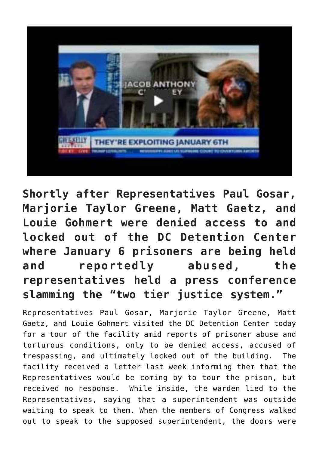

**Shortly after Representatives Paul Gosar, Marjorie Taylor Greene, Matt Gaetz, and Louie Gohmert were denied access to and locked out of the DC Detention Center where January 6 prisoners are being held and reportedly abused, the representatives held a press conference slamming the "two tier justice system."**

Representatives Paul Gosar, Marjorie Taylor Greene, Matt Gaetz, and Louie Gohmert visited the DC Detention Center today for a tour of the facility amid reports of prisoner abuse and torturous conditions, only to be denied access, accused of trespassing, and ultimately [locked out](https://nationalfile.com/breaking-dc-detention-facility-locks-members-of-congress-out-of-prison-accusations-of-tresspassing/) of the building. The facility received a letter last week informing them that the Representatives would be coming by to tour the prison, but received no response. While inside, the warden lied to the Representatives, saying that a superintendent was outside waiting to speak to them. When the members of Congress walked out to speak to the supposed superintendent, the doors were